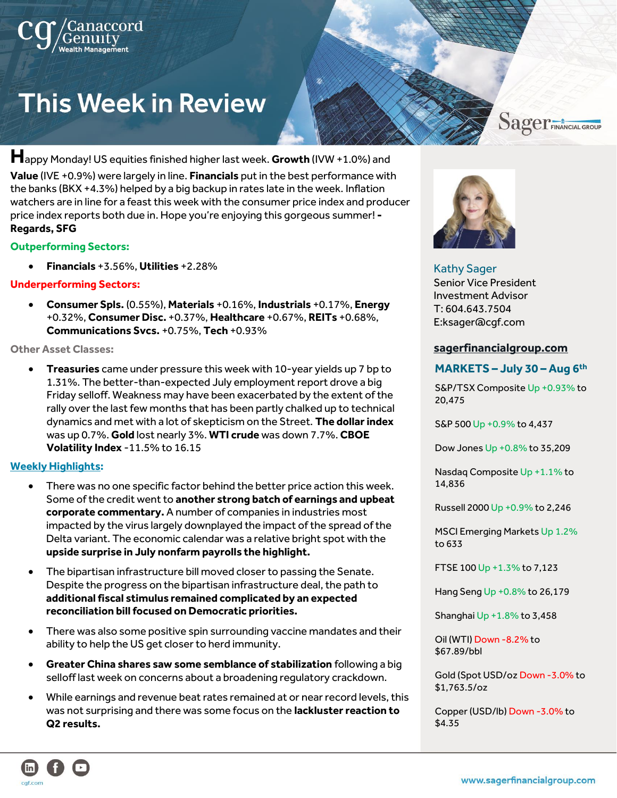# **This Week in Review**

**H**appy Monday! US equities finished higher last week. **Growth** (IVW +1.0%) and **Value** (IVE +0.9%) were largely in line. **Financials** put in the best performance with the banks (BKX +4.3%) helped by a big backup in rates late in the week. Inflation watchers are in line for a feast this week with the consumer price index and producer price index reports both due in. Hope you're enjoying this gorgeous summer! **- Regards, SFG**

#### **Outperforming Sectors:**

• **Financials** +3.56%, **Utilities** +2.28%

### **Underperforming Sectors:**

• **Consumer Spls.** (0.55%), **Materials** +0.16%, **Industrials** +0.17%, **Energy** +0.32%, **Consumer Disc.** +0.37%, **Healthcare** +0.67%, **REITs** +0.68%, **Communications Svcs.** +0.75%, **Tech** +0.93%

#### **Other Asset Classes:**

• **Treasuries** came under pressure this week with 10-year yields up 7 bp to 1.31%. The better-than-expected July employment report drove a big Friday selloff. Weakness may have been exacerbated by the extent of the rally over the last few months that has been partly chalked up to technical dynamics and met with a lot of skepticism on the Street. **The dollar index** was up 0.7%. **Gold** lost nearly 3%. **WTI crude** was down 7.7%. **CBOE Volatility Index** -11.5% to 16.15

#### **Weekly Highlights:**

- There was no one specific factor behind the better price action this week. Some of the credit went to **another strong batch of earnings and upbeat corporate commentary.** A number of companies in industries most impacted by the virus largely downplayed the impact of the spread of the Delta variant. The economic calendar was a relative bright spot with the **upside surprise in July nonfarm payrolls the highlight.**
- The bipartisan infrastructure bill moved closer to passing the Senate. Despite the progress on the bipartisan infrastructure deal, the path to **additional fiscal stimulus remained complicated by an expected reconciliation bill focused on Democratic priorities.**
- There was also some positive spin surrounding vaccine mandates and their ability to help the US get closer to herd immunity.
- **Greater China shares saw some semblance of stabilization** following a big selloff last week on concerns about a broadening regulatory crackdown.
- While earnings and revenue beat rates remained at or near record levels, this was not surprising and there was some focus on the **lackluster reaction to Q2 results.**



# Kathy Sager

Senior Vice President Investment Advisor T: 604.643.7504 E:ksager@cgf.com

### **[sagerfinancialgroup.com](https://www.sagerfinancialgroup.com/)**

# **MARKETS – July 30 – Aug 6 th**

**Sager**FINANCIAL GROUP

S&P/TSX Composite Up +0.93% to 20,475

S&P 500 Up +0.9% to 4,437

Dow Jones Up +0.8% to 35,209

Nasdaq Composite Up +1.1% to 14,836

Russell 2000 Up +0.9% to 2,246

MSCI Emerging Markets Up 1.2% to 633

FTSE 100 Up +1.3% to 7,123

Hang Seng Up +0.8% to 26,179

Shanghai Up +1.8% to 3,458

Oil (WTI) Down -8.2% to \$67.89/bbl

Gold (Spot USD/oz Down -3.0% to \$1,763.5/oz

Copper (USD/lb) Down -3.0% to \$4.35

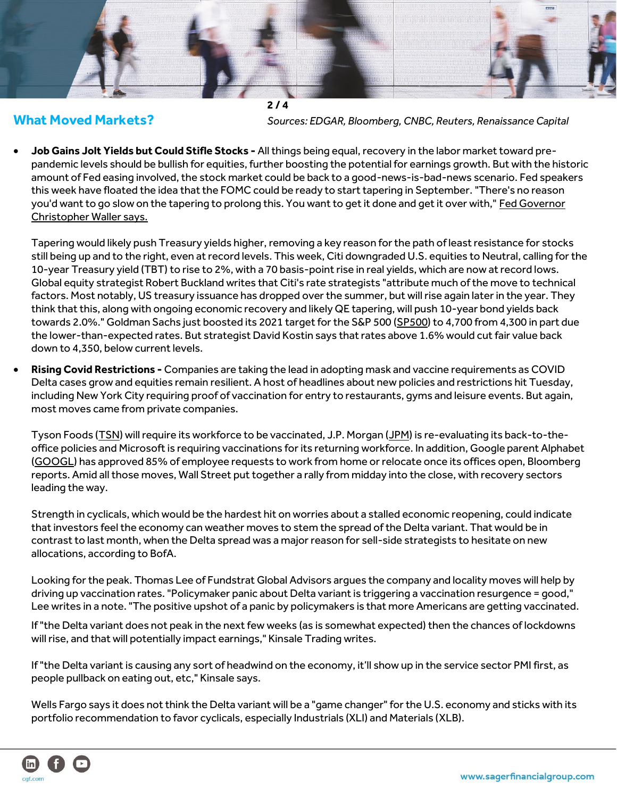

**What Moved Markets?** *Sources: EDGAR, Bloomberg, CNBC, Reuters, Renaissance Capital*

• **[Job Gains Jolt Yields but](https://email-st.seekingalpha.com/click/24678951.1543621/aHR0cHM6Ly9zZWVraW5nYWxwaGEuY29tL25ld3MvMzcyNjgwOS1ub25mYXJtLXBheXJvbGxzLWNvdWxkLWtpY2tzdGFydC15aWVsZHMtYnV0LXRoYXQtY291bGQtc3RpZmxlLXN0b2Nrcz9tYWlsaW5naWQ9MjQ2Nzg5NTEmc2VyaWFsPTI0Njc4OTUxLjE1NDM2MjEmdXNlcmlkPTU0NjAwNTAyJnNvdXJjZT1lbWFpbF93c2ImbWVzc2FnZWlkPXdhbGxfc3RyZWV0X2JyZWFrZmFzdCZ1dG1fc291cmNlPXNlZWtpbmdfYWxwaGE/60e338d73d7c5173db71340eBc28de0a5) Could Stifle Stocks -** All things being equal, recovery in the labor market toward prepandemic levels should be bullish for equities, further boosting the potential for earnings growth. But with the historic amount of Fed easing involved, the stock market could be back to a good-news-is-bad-news scenario. Fed speakers this week have floated the idea that the FOMC could be ready to start tapering in September. "There's no reason you'd want to go slow on the tapering to prolong this. You want to get it done and get it over with," Fed Governor [Christopher Waller says.](https://email-st.seekingalpha.com/click/24678951.1543621/aHR0cHM6Ly9zZWVraW5nYWxwaGEuY29tL25ld3MvMzcyNjgwOS1ub25mYXJtLXBheXJvbGxzLWNvdWxkLWtpY2tzdGFydC15aWVsZHMtYnV0LXRoYXQtY291bGQtc3RpZmxlLXN0b2Nrcz9tYWlsaW5naWQ9MjQ2Nzg5NTEmc2VyaWFsPTI0Njc4OTUxLjE1NDM2MjEmdXNlcmlkPTU0NjAwNTAyJnNvdXJjZT1lbWFpbF93c2ImbWVzc2FnZWlkPXdhbGxfc3RyZWV0X2JyZWFrZmFzdCZ1dG1fc291cmNlPXNlZWtpbmdfYWxwaGE/60e338d73d7c5173db71340eCc28de0a5)

Tapering would likely push Treasury yields higher, removing a key reason for the path of least resistance for stocks still being up and to the right, even at record levels. This week, Citi downgraded U.S. equities to Neutral, calling for the 10-year Treasury yield (TBT) to rise to 2%, with a 70 basis-point rise in real yields, which are now at record lows. Global equity strategist Robert Buckland writes that Citi's rate strategists "attribute much of the move to technical factors. Most notably, US treasury issuance has dropped over the summer, but will rise again later in the year. They think that this, along with ongoing economic recovery and likely QE tapering, will push 10-year bond yields back towards 2.0%." Goldman Sachs just boosted its 2021 target for the S&P 500 [\(SP500\)](https://email-st.seekingalpha.com/click/24678951.1543621/aHR0cHM6Ly9zZWVraW5nYWxwaGEuY29tL3N5bWJvbC9TUDUwMD9tYWlsaW5naWQ9MjQ2Nzg5NTEmc2VyaWFsPTI0Njc4OTUxLjE1NDM2MjEmdXNlcmlkPTU0NjAwNTAyJnNvdXJjZT1lbWFpbF93c2ImbWVzc2FnZWlkPXdhbGxfc3RyZWV0X2JyZWFrZmFzdCZ1dG1fc291cmNlPXNlZWtpbmdfYWxwaGE/60e338d73d7c5173db71340eC0472d188) to 4,700 from 4,300 in part due the lower-than-expected rates. But strategist David Kostin says that rates above 1.6% would cut fair value back down to 4,350, below current levels.

• **Rising Covid Restrictions -** Companies are taking the lead in adopting mask and vaccine requirements as COVID Delta cases grow and equities remain resilient. A host of headlines about new policies and restrictions hit Tuesday, including New York City requiring proof of vaccination for entry to restaurants, gyms and leisure events. But again, most moves came from private companies.

Tyson Foods [\(TSN\)](https://email-st.seekingalpha.com/click/24678951.1543621/aHR0cHM6Ly9zZWVraW5nYWxwaGEuY29tL3N5bWJvbC9UU04_bWFpbGluZ2lkPTI0Njc4OTUxJnNlcmlhbD0yNDY3ODk1MS4xNTQzNjIxJnVzZXJpZD01NDYwMDUwMiZzb3VyY2U9ZW1haWxfd3NiJm1lc3NhZ2VpZD13YWxsX3N0cmVldF9icmVha2Zhc3QmdXRtX3NvdXJjZT1zZWVraW5nX2FscGhh/60e338d73d7c5173db71340eB01fe6402) will require its workforce to be vaccinated, J.P. Morgan [\(JPM\)](https://email-st.seekingalpha.com/click/24678951.1543621/aHR0cHM6Ly9zZWVraW5nYWxwaGEuY29tL3N5bWJvbC9KUE0_bWFpbGluZ2lkPTI0Njc4OTUxJnNlcmlhbD0yNDY3ODk1MS4xNTQzNjIxJnVzZXJpZD01NDYwMDUwMiZzb3VyY2U9ZW1haWxfd3NiJm1lc3NhZ2VpZD13YWxsX3N0cmVldF9icmVha2Zhc3QmdXRtX3NvdXJjZT1zZWVraW5nX2FscGhh/60e338d73d7c5173db71340eB5e951814) is re-evaluating its back-to-theoffice policies and Microsoft is requiring vaccinations for its returning workforce. In addition, Google parent Alphabet [\(GOOGL\)](https://email-st.seekingalpha.com/click/24678951.1543621/aHR0cHM6Ly9zZWVraW5nYWxwaGEuY29tL3N5bWJvbC9HT09HTD9tYWlsaW5naWQ9MjQ2Nzg5NTEmc2VyaWFsPTI0Njc4OTUxLjE1NDM2MjEmdXNlcmlkPTU0NjAwNTAyJnNvdXJjZT1lbWFpbF93c2ImbWVzc2FnZWlkPXdhbGxfc3RyZWV0X2JyZWFrZmFzdCZ1dG1fc291cmNlPXNlZWtpbmdfYWxwaGE/60e338d73d7c5173db71340eB07406b96) has approved 85% of employee requests to work from home or relocate once its offices open, Bloomberg reports. Amid all those moves, Wall Street put together a rally from midday into the close, with recovery sectors leading the way.

Strength in cyclicals, which would be the hardest hit on worries about a stalled economic reopening, could indicate that investors feel the economy can weather moves to stem the spread of the Delta variant. That would be in contrast to last month, when the Delta spread was a major reason for sell-side strategists to hesitate on new allocations, according to BofA.

Looking for the peak. Thomas Lee of Fundstrat Global Advisors argues the company and locality moves will help by driving up vaccination rates. "Policymaker panic about Delta variant is triggering a vaccination resurgence = good," Lee writes in a note. "The positive upshot of a panic by policymakers is that more Americans are getting vaccinated.

If "the Delta variant does not peak in the next few weeks (as is somewhat expected) then the chances of lockdowns will rise, and that will potentially impact earnings," Kinsale Trading writes.

If "the Delta variant is causing any sort of headwind on the economy, it'll show up in the service sector PMI first, as people pullback on eating out, etc," Kinsale says.

Wells Fargo says it does not think the Delta variant will be a "game changer" for the U.S. economy and sticks with its portfolio recommendation to favor cyclicals, especially Industrials (XLI) and Materials (XLB).

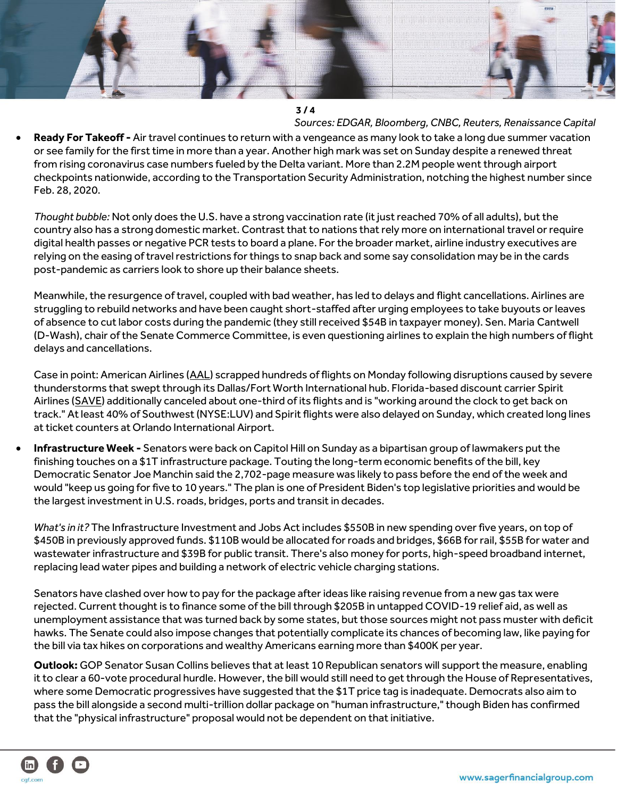

## **3 / 4**

*Sources: EDGAR, Bloomberg, CNBC, Reuters, Renaissance Capital* • **Ready For Takeoff -** Air travel continues to return with a vengeance as many look to take a long due summer vacation or see family for the first time in more than a year. Another high mark was set on Sunday despite a renewed threat from rising coronavirus case numbers fueled by the Delta variant. More than 2.2M people went through airport checkpoints nationwide, according to the Transportation Security Administration, notching the highest number since Feb. 28, 2020.

*Thought bubble:* Not only does the U.S. have a strong vaccination rate (it just reached 70% of all adults), but the country also has a strong domestic market. Contrast that to nations that rely more on international travel orrequire digital health passes or negative PCR tests to board a plane. For the broader market, airline industry executives are relying on the easing of travel restrictions for things to snap back and some say consolidation may be in the cards post-pandemic as carriers look to shore up their balance sheets.

Meanwhile, the resurgence of travel, coupled with bad weather, has led to delays and flight cancellations. Airlines are struggling to rebuild networks and have been caught short-staffed after urging employees to take buyouts or leaves of absence to cut labor costs during the pandemic (they still received \$54B in taxpayer money). Sen. Maria Cantwell (D-Wash), chair of the Senate Commerce Committee, is even questioning airlines to explain the high numbers of flight delays and cancellations.

Case in point: American Airlines [\(AAL\)](https://email-st.seekingalpha.com/click/24678951.1543621/aHR0cHM6Ly9zZWVraW5nYWxwaGEuY29tL3N5bWJvbC9BQUw_bWFpbGluZ2lkPTI0Njc4OTUxJnNlcmlhbD0yNDY3ODk1MS4xNTQzNjIxJnVzZXJpZD01NDYwMDUwMiZzb3VyY2U9ZW1haWxfd3NiJm1lc3NhZ2VpZD13YWxsX3N0cmVldF9icmVha2Zhc3QmdXRtX3NvdXJjZT1zZWVraW5nX2FscGhh/60e338d73d7c5173db71340eBe30e7064) scrapped hundreds of flights on Monday following disruptions caused by severe thunderstorms that swept through its Dallas/Fort Worth International hub. Florida-based discount carrier Spirit Airlines [\(SAVE\)](https://email-st.seekingalpha.com/click/24678951.1543621/aHR0cHM6Ly9zZWVraW5nYWxwaGEuY29tL3N5bWJvbC9TQVZFP21haWxpbmdpZD0yNDY3ODk1MSZzZXJpYWw9MjQ2Nzg5NTEuMTU0MzYyMSZ1c2VyaWQ9NTQ2MDA1MDImc291cmNlPWVtYWlsX3dzYiZtZXNzYWdlaWQ9d2FsbF9zdHJlZXRfYnJlYWtmYXN0JnV0bV9zb3VyY2U9c2Vla2luZ19hbHBoYQ/60e338d73d7c5173db71340eB2acf365b) additionally canceled about one-third of its flights and is "working around the clock to get back on track." At least 40% of Southwest (NYSE:LUV) and Spirit flights were also delayed on Sunday, which created long lines at ticket counters at Orlando International Airport.

• **Infrastructure Week -** Senators were back on Capitol Hill on Sunday as a bipartisan group of lawmakers put the finishing touches on a \$1T infrastructure package. Touting the long-term economic benefits of the bill, key Democratic Senator Joe Manchin said the 2,702-page measure was likely to pass before the end of the week and would "keep us going for five to 10 years." The plan is one of President Biden's top legislative priorities and would be the largest investment in U.S. roads, bridges, ports and transit in decades.

*What's in it?* The Infrastructure Investment and Jobs Act includes \$550B in new spending over five years, on top of \$450B in previously approved funds. \$110B would be allocated for roads and bridges, \$66B for rail, \$55B for water and wastewater infrastructure and \$39B for public transit. There's also money for ports, high-speed broadband internet, replacing lead water pipes and building a network of electric vehicle charging stations.

Senators have clashed over how to pay for the package after ideas like raising revenue from a new gas tax were rejected. Current thought is to finance some of the bill through \$205B in untapped COVID-19 relief aid, as well as unemployment assistance that was turned back by some states, but those sources might not pass muster with deficit hawks. The Senate could also impose changes that potentially complicate its chances of becoming law, like paying for the bill via tax hikes on corporations and wealthy Americans earning more than \$400K per year.

**Outlook:** GOP Senator Susan Collins believes that at least 10 Republican senators will support the measure, enabling it to clear a 60-vote procedural hurdle. However, the bill would still need to get through the House of Representatives, where some Democratic progressives have suggested that the \$1T price tag is inadequate. Democrats also aim to pass the bill alongside a second multi-trillion dollar package on "human infrastructure," though Biden has confirmed that the "physical infrastructure" proposal would not be dependent on that initiative.